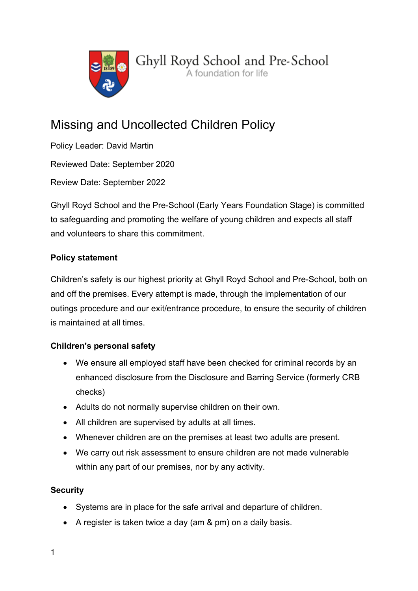

# Missing and Uncollected Children Policy

Policy Leader: David Martin Reviewed Date: September 2020 Review Date: September 2022

Ghyll Royd School and the Pre-School (Early Years Foundation Stage) is committed to safeguarding and promoting the welfare of young children and expects all staff and volunteers to share this commitment.

# Policy statement

Children's safety is our highest priority at Ghyll Royd School and Pre-School, both on and off the premises. Every attempt is made, through the implementation of our outings procedure and our exit/entrance procedure, to ensure the security of children is maintained at all times.

# Children's personal safety

- We ensure all employed staff have been checked for criminal records by an enhanced disclosure from the Disclosure and Barring Service (formerly CRB checks)
- Adults do not normally supervise children on their own.
- All children are supervised by adults at all times.
- Whenever children are on the premises at least two adults are present.
- We carry out risk assessment to ensure children are not made vulnerable within any part of our premises, nor by any activity.

# **Security**

- Systems are in place for the safe arrival and departure of children.
- A register is taken twice a day (am & pm) on a daily basis.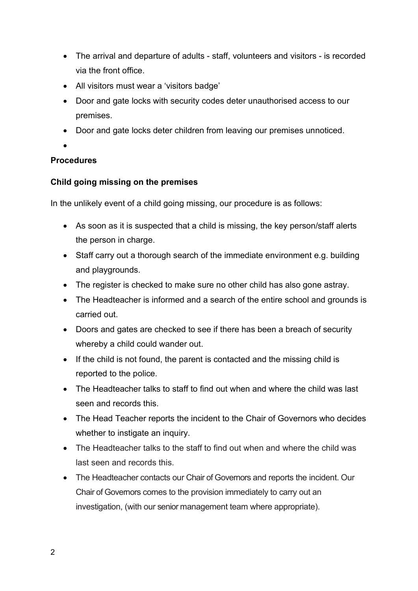- The arrival and departure of adults staff, volunteers and visitors is recorded via the front office.
- All visitors must wear a 'visitors badge'
- Door and gate locks with security codes deter unauthorised access to our premises.
- Door and gate locks deter children from leaving our premises unnoticed.
- $\bullet$

#### **Procedures**

#### Child going missing on the premises

In the unlikely event of a child going missing, our procedure is as follows:

- As soon as it is suspected that a child is missing, the key person/staff alerts the person in charge.
- Staff carry out a thorough search of the immediate environment e.g. building and playgrounds.
- The register is checked to make sure no other child has also gone astray.
- The Headteacher is informed and a search of the entire school and grounds is carried out.
- Doors and gates are checked to see if there has been a breach of security whereby a child could wander out.
- If the child is not found, the parent is contacted and the missing child is reported to the police.
- The Headteacher talks to staff to find out when and where the child was last seen and records this.
- The Head Teacher reports the incident to the Chair of Governors who decides whether to instigate an inquiry.
- The Headteacher talks to the staff to find out when and where the child was last seen and records this.
- The Headteacher contacts our Chair of Governors and reports the incident. Our Chair of Governors comes to the provision immediately to carry out an investigation, (with our senior management team where appropriate).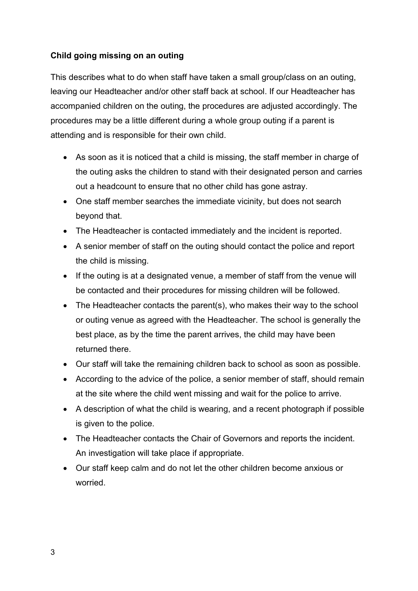# Child going missing on an outing

This describes what to do when staff have taken a small group/class on an outing, leaving our Headteacher and/or other staff back at school. If our Headteacher has accompanied children on the outing, the procedures are adjusted accordingly. The procedures may be a little different during a whole group outing if a parent is attending and is responsible for their own child.

- As soon as it is noticed that a child is missing, the staff member in charge of the outing asks the children to stand with their designated person and carries out a headcount to ensure that no other child has gone astray.
- One staff member searches the immediate vicinity, but does not search beyond that.
- The Headteacher is contacted immediately and the incident is reported.
- A senior member of staff on the outing should contact the police and report the child is missing.
- If the outing is at a designated venue, a member of staff from the venue will be contacted and their procedures for missing children will be followed.
- The Headteacher contacts the parent(s), who makes their way to the school or outing venue as agreed with the Headteacher. The school is generally the best place, as by the time the parent arrives, the child may have been returned there.
- Our staff will take the remaining children back to school as soon as possible.
- According to the advice of the police, a senior member of staff, should remain at the site where the child went missing and wait for the police to arrive.
- A description of what the child is wearing, and a recent photograph if possible is given to the police.
- The Headteacher contacts the Chair of Governors and reports the incident. An investigation will take place if appropriate.
- Our staff keep calm and do not let the other children become anxious or worried.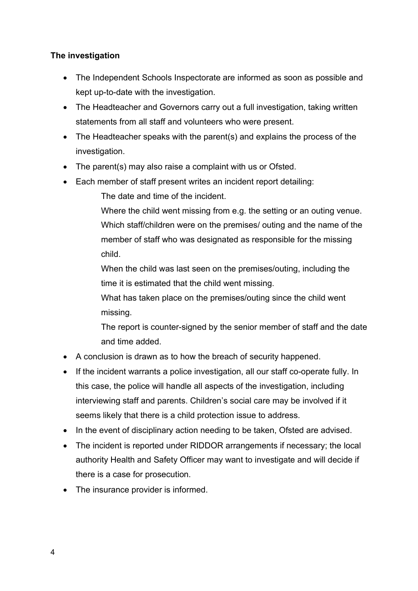## The investigation

- The Independent Schools Inspectorate are informed as soon as possible and kept up-to-date with the investigation.
- The Headteacher and Governors carry out a full investigation, taking written statements from all staff and volunteers who were present.
- The Headteacher speaks with the parent(s) and explains the process of the investigation.
- The parent(s) may also raise a complaint with us or Ofsted.
- Each member of staff present writes an incident report detailing:
	- The date and time of the incident.
	- Where the child went missing from e.g. the setting or an outing venue. Which staff/children were on the premises/ outing and the name of the member of staff who was designated as responsible for the missing child.
	- When the child was last seen on the premises/outing, including the time it is estimated that the child went missing.
	- What has taken place on the premises/outing since the child went missing.
	- The report is counter-signed by the senior member of staff and the date and time added.
- A conclusion is drawn as to how the breach of security happened.
- If the incident warrants a police investigation, all our staff co-operate fully. In this case, the police will handle all aspects of the investigation, including interviewing staff and parents. Children's social care may be involved if it seems likely that there is a child protection issue to address.
- In the event of disciplinary action needing to be taken, Ofsted are advised.
- The incident is reported under RIDDOR arrangements if necessary; the local authority Health and Safety Officer may want to investigate and will decide if there is a case for prosecution.
- The insurance provider is informed.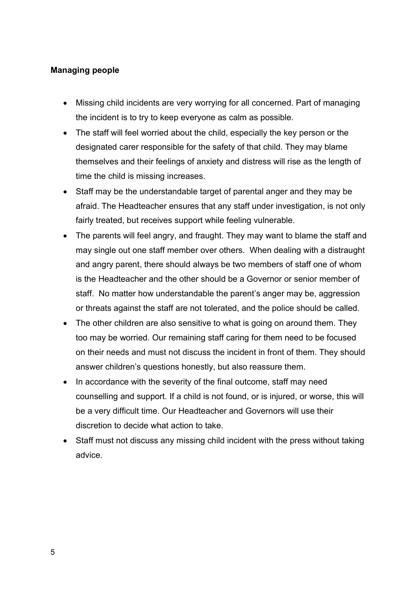### Managing people

- Missing child incidents are very worrying for all concerned. Part of managing the incident is to try to keep everyone as calm as possible.
- The staff will feel worried about the child, especially the key person or the designated carer responsible for the safety of that child. They may blame themselves and their feelings of anxiety and distress will rise as the length of time the child is missing increases.
- Staff may be the understandable target of parental anger and they may be afraid. The Headteacher ensures that any staff under investigation, is not only fairly treated, but receives support while feeling vulnerable.
- The parents will feel angry, and fraught. They may want to blame the staff and may single out one staff member over others. When dealing with a distraught and angry parent, there should always be two members of staff one of whom is the Headteacher and the other should be a Governor or senior member of staff. No matter how understandable the parent's anger may be, aggression or threats against the staff are not tolerated, and the police should be called.
- The other children are also sensitive to what is going on around them. They too may be worried. Our remaining staff caring for them need to be focused on their needs and must not discuss the incident in front of them. They should answer children's questions honestly, but also reassure them.
- In accordance with the severity of the final outcome, staff may need counselling and support. If a child is not found, or is injured, or worse, this will be a very difficult time. Our Headteacher and Governors will use their discretion to decide what action to take.
- Staff must not discuss any missing child incident with the press without taking advice.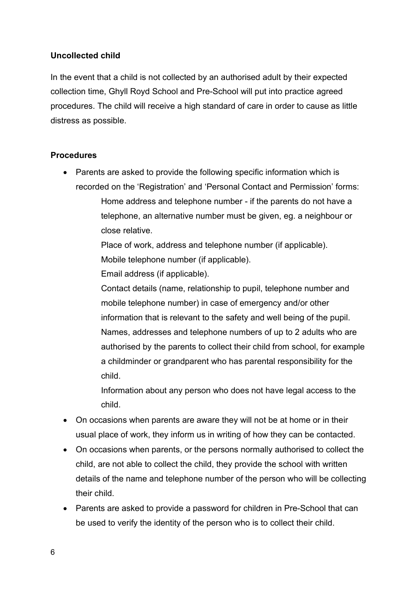### Uncollected child

In the event that a child is not collected by an authorised adult by their expected collection time, Ghyll Royd School and Pre-School will put into practice agreed procedures. The child will receive a high standard of care in order to cause as little distress as possible.

#### Procedures

 Parents are asked to provide the following specific information which is recorded on the 'Registration' and 'Personal Contact and Permission' forms: Home address and telephone number - if the parents do not have a telephone, an alternative number must be given, eg. a neighbour or close relative.

> Place of work, address and telephone number (if applicable). Mobile telephone number (if applicable).

Email address (if applicable).

Contact details (name, relationship to pupil, telephone number and mobile telephone number) in case of emergency and/or other information that is relevant to the safety and well being of the pupil. Names, addresses and telephone numbers of up to 2 adults who are authorised by the parents to collect their child from school, for example a childminder or grandparent who has parental responsibility for the child.

Information about any person who does not have legal access to the child.

- On occasions when parents are aware they will not be at home or in their usual place of work, they inform us in writing of how they can be contacted.
- On occasions when parents, or the persons normally authorised to collect the child, are not able to collect the child, they provide the school with written details of the name and telephone number of the person who will be collecting their child.
- Parents are asked to provide a password for children in Pre-School that can be used to verify the identity of the person who is to collect their child.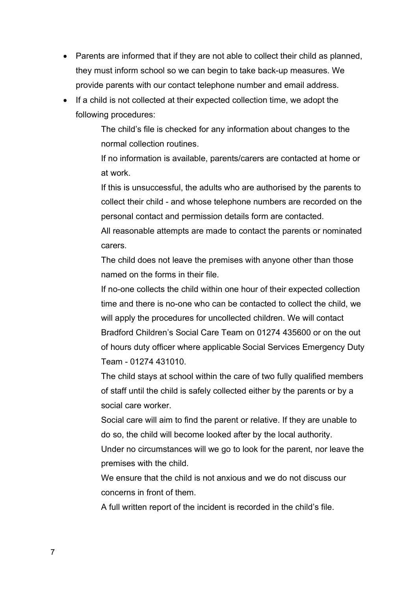- Parents are informed that if they are not able to collect their child as planned, they must inform school so we can begin to take back-up measures. We provide parents with our contact telephone number and email address.
- If a child is not collected at their expected collection time, we adopt the following procedures:

The child's file is checked for any information about changes to the normal collection routines.

If no information is available, parents/carers are contacted at home or at work.

If this is unsuccessful, the adults who are authorised by the parents to collect their child - and whose telephone numbers are recorded on the personal contact and permission details form are contacted.

All reasonable attempts are made to contact the parents or nominated carers.

The child does not leave the premises with anyone other than those named on the forms in their file.

If no-one collects the child within one hour of their expected collection time and there is no-one who can be contacted to collect the child, we will apply the procedures for uncollected children. We will contact Bradford Children's Social Care Team on 01274 435600 or on the out of hours duty officer where applicable Social Services Emergency Duty Team - 01274 431010.

The child stays at school within the care of two fully qualified members of staff until the child is safely collected either by the parents or by a social care worker.

Social care will aim to find the parent or relative. If they are unable to do so, the child will become looked after by the local authority.

Under no circumstances will we go to look for the parent, nor leave the premises with the child.

We ensure that the child is not anxious and we do not discuss our concerns in front of them.

A full written report of the incident is recorded in the child's file.